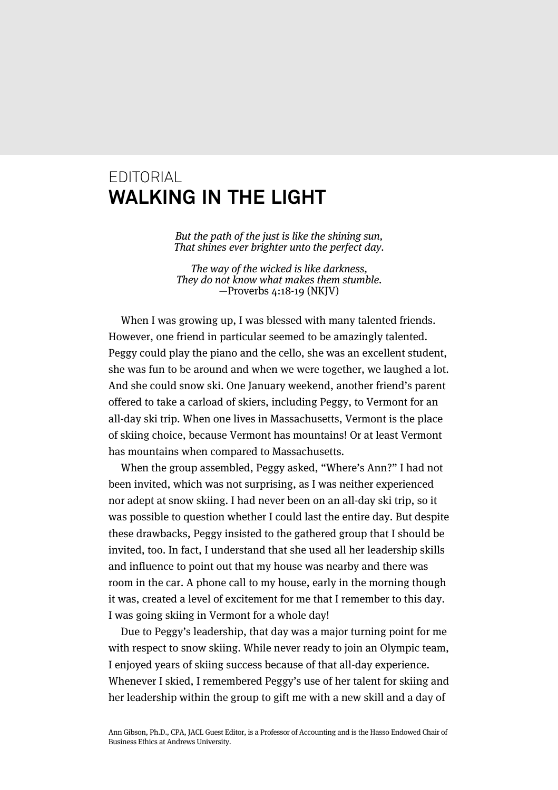## EDITORIAL **WALKING IN THE LIGHT**

But the path of the just is like the shining sun, That shines ever brighter unto the perfect day.

The way of the wicked is like darkness, They do not know what makes them stumble. —Proverbs 4:18-19 (NKJV)

When I was growing up, I was blessed with many talented friends. However, one friend in particular seemed to be amazingly talented. Peggy could play the piano and the cello, she was an excellent student, she was fun to be around and when we were together, we laughed a lot. And she could snow ski. One January weekend, another friend's parent offered to take a carload of skiers, including Peggy, to Vermont for an all-day ski trip. When one lives in Massachusetts, Vermont is the place of skiing choice, because Vermont has mountains! Or at least Vermont has mountains when compared to Massachusetts.

When the group assembled, Peggy asked, "Where's Ann?" I had not been invited, which was not surprising, as I was neither experienced nor adept at snow skiing. I had never been on an all-day ski trip, so it was possible to question whether I could last the entire day. But despite these drawbacks, Peggy insisted to the gathered group that I should be invited, too. In fact, I understand that she used all her leadership skills and influence to point out that my house was nearby and there was room in the car. A phone call to my house, early in the morning though it was, created a level of excitement for me that I remember to this day. I was going skiing in Vermont for a whole day!

Due to Peggy's leadership, that day was a major turning point for me with respect to snow skiing. While never ready to join an Olympic team, I enjoyed years of skiing success because of that all-day experience. Whenever I skied, I remembered Peggy's use of her talent for skiing and her leadership within the group to gift me with a new skill and a day of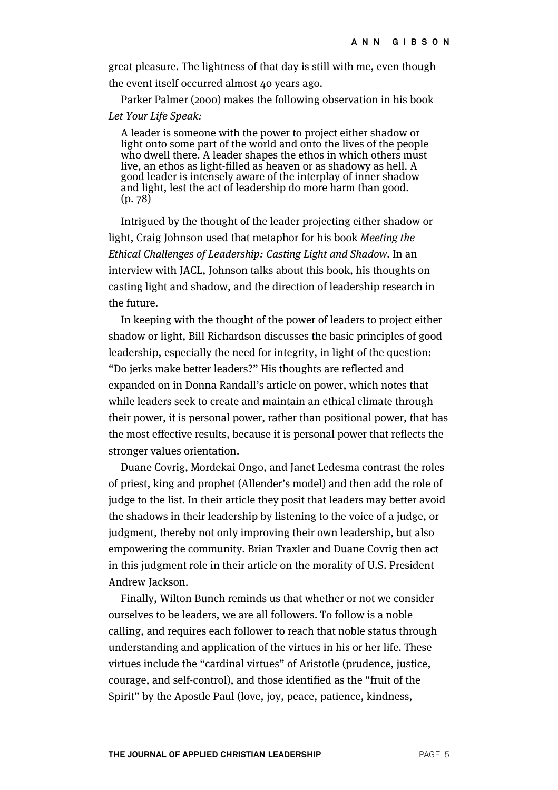great pleasure. The lightness of that day is still with me, even though the event itself occurred almost 40 years ago.

Parker Palmer (2000) makes the following observation in his book Let Your Life Speak:

A leader is someone with the power to project either shadow or light onto some part of the world and onto the lives of the people who dwell there. A leader shapes the ethos in which others must live, an ethos as light-filled as heaven or as shadowy as hell. A good leader is intensely aware of the interplay of inner shadow and light, lest the act of leadership do more harm than good. (p. 78)

Intrigued by the thought of the leader projecting either shadow or light, Craig Johnson used that metaphor for his book Meeting the Ethical Challenges of Leadership: Casting Light and Shadow. In an interview with JACL, Johnson talks about this book, his thoughts on casting light and shadow, and the direction of leadership research in the future.

In keeping with the thought of the power of leaders to project either shadow or light, Bill Richardson discusses the basic principles of good leadership, especially the need for integrity, in light of the question: "Do jerks make better leaders?" His thoughts are reflected and expanded on in Donna Randall's article on power, which notes that while leaders seek to create and maintain an ethical climate through their power, it is personal power, rather than positional power, that has the most effective results, because it is personal power that reflects the stronger values orientation.

Duane Covrig, Mordekai Ongo, and Janet Ledesma contrast the roles of priest, king and prophet (Allender's model) and then add the role of judge to the list. In their article they posit that leaders may better avoid the shadows in their leadership by listening to the voice of a judge, or judgment, thereby not only improving their own leadership, but also empowering the community. Brian Traxler and Duane Covrig then act in this judgment role in their article on the morality of U.S. President Andrew Jackson.

Finally, Wilton Bunch reminds us that whether or not we consider ourselves to be leaders, we are all followers. To follow is a noble calling, and requires each follower to reach that noble status through understanding and application of the virtues in his or her life. These virtues include the "cardinal virtues" of Aristotle (prudence, justice, courage, and self-control), and those identified as the "fruit of the Spirit" by the Apostle Paul (love, joy, peace, patience, kindness,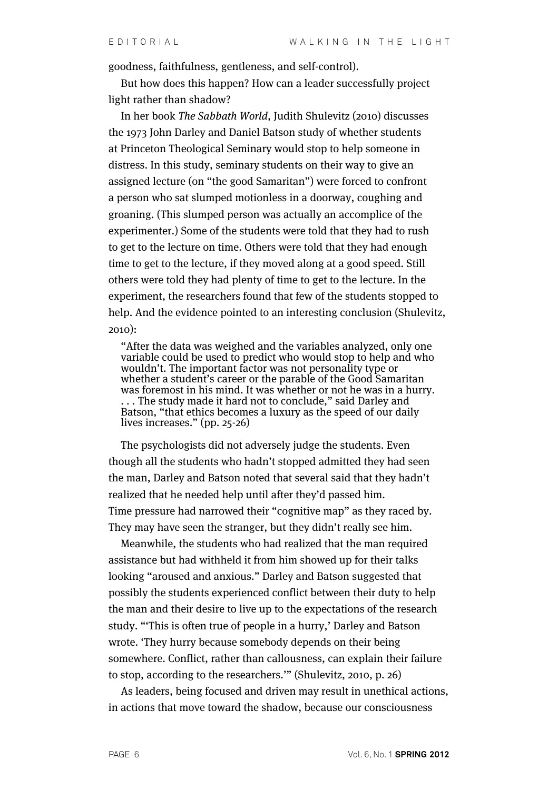goodness, faithfulness, gentleness, and self-control).

But how does this happen? How can a leader successfully project light rather than shadow?

In her book The Sabbath World, Judith Shulevitz (2010) discusses the 1973 John Darley and Daniel Batson study of whether students at Princeton Theological Seminary would stop to help someone in distress. In this study, seminary students on their way to give an assigned lecture (on "the good Samaritan") were forced to confront a person who sat slumped motionless in a doorway, coughing and groaning. (This slumped person was actually an accomplice of the experimenter.) Some of the students were told that they had to rush to get to the lecture on time. Others were told that they had enough time to get to the lecture, if they moved along at a good speed. Still others were told they had plenty of time to get to the lecture. In the experiment, the researchers found that few of the students stopped to help. And the evidence pointed to an interesting conclusion (Shulevitz, 2010):

"After the data was weighed and the variables analyzed, only one variable could be used to predict who would stop to help and who wouldn't. The important factor was not personality type or whether a student's career or the parable of the Good Samaritan was foremost in his mind. It was whether or not he was in a hurry. . . . The study made it hard not to conclude," said Darley and Batson, "that ethics becomes a luxury as the speed of our daily lives increases." (pp. 25-26)

The psychologists did not adversely judge the students. Even though all the students who hadn't stopped admitted they had seen the man, Darley and Batson noted that several said that they hadn't realized that he needed help until after they'd passed him. Time pressure had narrowed their "cognitive map" as they raced by. They may have seen the stranger, but they didn't really see him.

Meanwhile, the students who had realized that the man required assistance but had withheld it from him showed up for their talks looking "aroused and anxious." Darley and Batson suggested that possibly the students experienced conflict between their duty to help the man and their desire to live up to the expectations of the research study. "'This is often true of people in a hurry,' Darley and Batson wrote. 'They hurry because somebody depends on their being somewhere. Conflict, rather than callousness, can explain their failure to stop, according to the researchers.'" (Shulevitz, 2010, p. 26)

As leaders, being focused and driven may result in unethical actions, in actions that move toward the shadow, because our consciousness